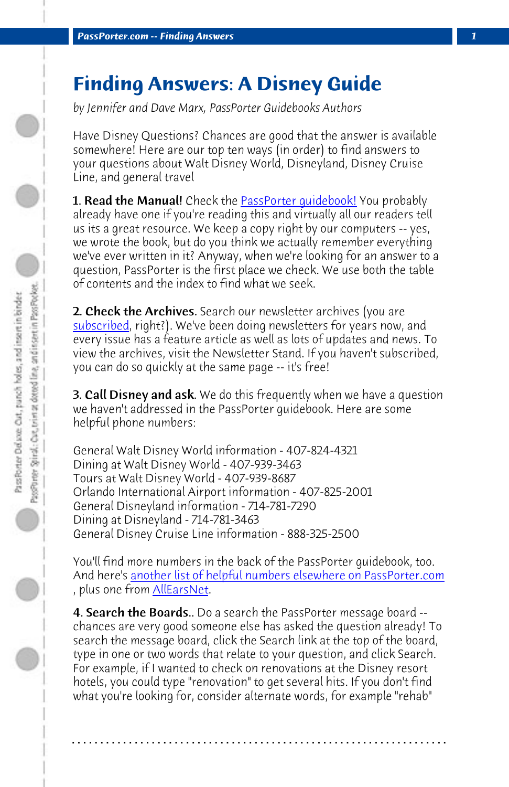**PassPorter.com -- Finding Answers** 

## **[Findin](http://www.passporter.com/news.htm)g Answers: A Disney Guide**

*by Jennifer and Dave Marx, PassPorter Guidebooks Authors*

Have Disney Questions? Chances are good that the answer is available somewhere! Here are our top ten ways (in order) to find answers to your questions about Walt Disney World, Disneyland, Disney Cruise Line, and general travel

**1. Read the Manual!** Check the **PassPorter quidebook!** You probably already have one if you're reading this and virtually all our readers tell us its a great resource. We keep a copy right by our computers -- yes, we wrote the book, but do you think we actually remember everything we've ever written in it? Anyway, when we're looking for an answer to a question, PassPorter is the first place we check. We use both the table of contents and the index to find what we seek.

2. Check the Archives. Search our newsletter archives (you are subscribed, right?). We've been doing newsletters for years now, and every issue [has a feature article as well as lots of updates and news. To](http://www.passporter.com/wdw/numbers.htm) view the archiv[es, visit the](http://www.allears.net/pl/phone.htm) Newsletter Stand. If you haven't subscribed, you can do so quickly at the same page -- it's free!

**3. Call Disney and ask.** We do this frequently when we have a question we haven't addressed in the PassPorter guidebook. Here are some helpful phone numbers:

General Walt Disney World information - 407-824-4321 Dining at Walt Disney World - 407-939-3463 Tours at Walt Disney World - 407-939-8687 Orlando International Airport information - 407-825-2001 General Disneyland information - 714-781-7290 Dining at Disneyland - 714-781-3463 General Disney Cruise Line information - 888-325-2500

You'll find more numbers in the back of the PassPorter guidebook, too. And here's another list of helpful numbers elsewhere on PassPorter.com , plus one from AllEarsNet.

4. Search the Boards.. Do a search the PassPorter message board -chances are very good someone else has asked the question already! To search the message board, click the Search link at the top of the board, type in one or two words that relate to your question, and click Search. For example, if I wanted to check on renovations at the Disney resort hotels, you could type "renovation" to get several hits. If you don't find what you're looking for, consider alternate words, for example "rehab"

**. . . . . . . . . . . . . . . . . . . . . . . . . . . . . . . . . . . . . . . . . . . . . . . . . . . . . . . . . . . . . . . . . .**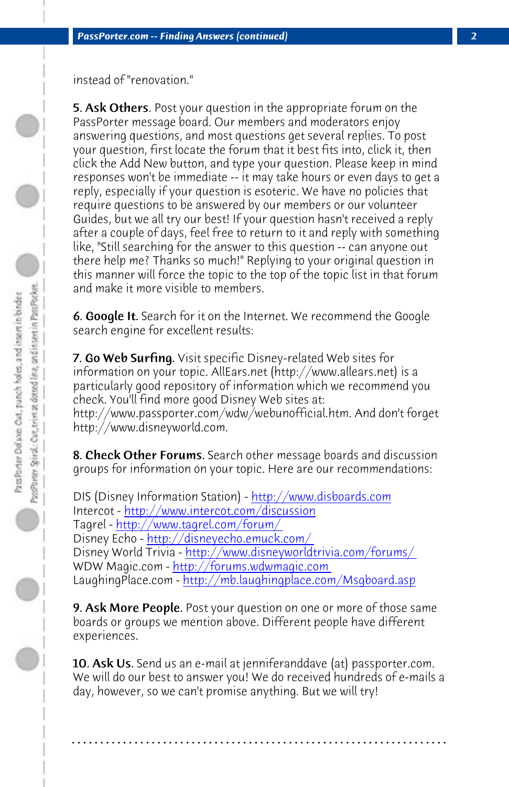*PassPorter.com -- Finding Answers (continued) 2*

instead of "renovation."

5. Ask Others. Post your question in the appropriate forum on the PassPorter message board. Our members and moderators enjoy answering questions, and most questions get several replies. To post your question, first locate the forum that it best fits into, click it, then click the Add New button, and type your question. Please keep in mind responses won't be immediate -- it may take hours or even days to get a reply, especially if your question is esoteric. We have no policies that require questions to be answered by our members or our volunteer Guides, but we all try our best! If your question hasn't received a reply after a couple of days, feel free to return to it and reply with something like, "Still searching for the answer to this question -- can anyone out there help me? Thanks so much!" [Replying to your original que](http://www.disboards.com/)stion in this man[ner will force the topic to the top of the](http://www.intercot.com/discussion) topic list in that forum and ma[ke it more visible to members.](http://www.tagrel.com/forum/) 

6. Google It. [Search f](http://disneyecho.emuck.com/)[or it on the Internet. We recommend the Goog](http://www.disneyworldtrivia.com/forums/)le search engine for [excellent results:](http://forums.wdwmagic.com/) 

7. Go Web Surfing. [Visit specific Disney-related Web sites for](http://mb.laughingplace.com/Msgboard.asp) information on your topic. AllEars.net (http://www.allears.net) is a particularly good repository of information which we recommend you check. You'll find more good Disney Web sites at: http://www.passporter.com/wdw/webunofficial.htm. And don't forget http://www.disneyworld.com.

8. Check Other Forums. Search other message boards and discussion groups for information on your topic. Here are our recommendations:

DIS (Disney Information Station) - http://www.disboards.com Intercot - http://www.intercot.com/discussion Tagrel - http://www.tagrel.com/forum/ Disney Echo - http://disneyecho.emuck.com/ Disney World Trivia - http://www.disneyworldtrivia.com/forums/ WDW Magic.com - http://forums.wdwmagic.com LaughingPlace.com - http://mb.laughingplace.com/Msgboard.asp

**9. Ask More People.** Post your question on one or more of those same boards or groups we mention above. Different people have different experiences.

**10. Ask Us.** Send us an e-mail at jenniferanddave (at) passporter.com. We will do our best to answer you! We do received hundreds of e-mails a day, however, so we can't promise anything. But we will try!

**. . . . . . . . . . . . . . . . . . . . . . . . . . . . . . . . . . . . . . . . . . . . . . . . . . . . . . . . . . . . . . . . . .**